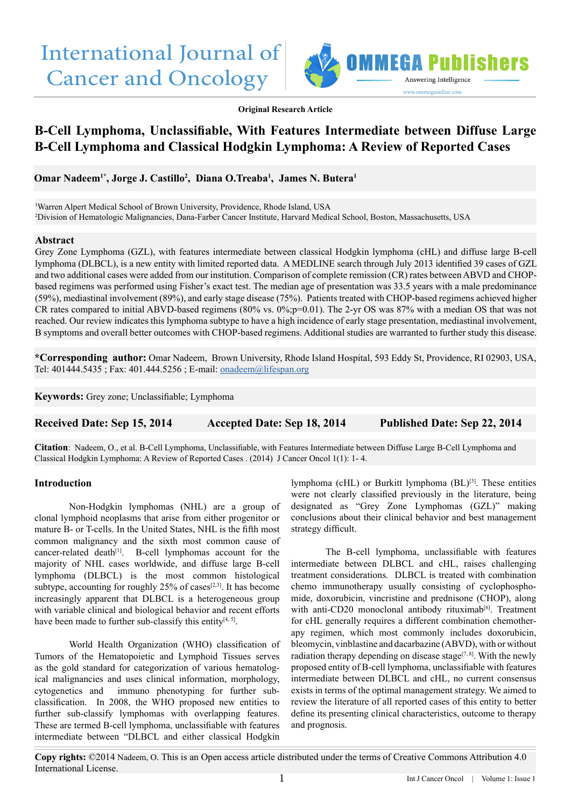# International Journal of Cancer and Oncology



**Original Research Article**

# **B-Cell Lymphoma, Unclassifiable, With Features Intermediate between Diffuse Large B-Cell Lymphoma and Classical Hodgkin Lymphoma: A Review of Reported Cases**

**Omar Nadeem1\*, Jorge J. Castillo2 , Diana O.Treaba1 , James N. Butera1**

1 Warren Alpert Medical School of Brown University, Providence, Rhode Island, USA 2 Division of Hematologic Malignancies, Dana-Farber Cancer Institute, Harvard Medical School, Boston, Massachusetts, USA

#### **Abstract**

Grey Zone Lymphoma (GZL), with features intermediate between classical Hodgkin lymphoma (cHL) and diffuse large B-cell lymphoma (DLBCL), is a new entity with limited reported data. A MEDLINE search through July 2013 identified 39 cases of GZL and two additional cases were added from our institution. Comparison of complete remission (CR) rates between ABVD and CHOPbased regimens was performed using Fisher's exact test. The median age of presentation was 33.5 years with a male predominance (59%), mediastinal involvement (89%), and early stage disease (75%). Patients treated with CHOP-based regimens achieved higher CR rates compared to initial ABVD-based regimens (80% vs. 0%;p=0.01). The 2-yr OS was 87% with a median OS that was not reached. Our review indicates this lymphoma subtype to have a high incidence of early stage presentation, mediastinal involvement, B symptoms and overall better outcomes with CHOP-based regimens. Additional studies are warranted to further study this disease.

**\*Corresponding author:** Omar Nadeem, Brown University, Rhode Island Hospital, 593 Eddy St, Providence, RI 02903, USA, Tel: 401444.5435 ; Fax: 401.444.5256 ; E-mail: [onadeem@lifespan.org](mailto:onadeem%40lifespan.org?subject=)

**Keywords:** Grey zone; Unclassifiable; Lymphoma

| <b>Received Date: Sep 15, 2014</b> | Accepted Date: Sep 18, 2014 | <b>Published Date: Sep 22, 2014</b> |
|------------------------------------|-----------------------------|-------------------------------------|
|------------------------------------|-----------------------------|-------------------------------------|

**Citation**: Nadeem, O., et al. B-Cell Lymphoma, Unclassifiable, with Features Intermediate between Diffuse Large B-Cell Lymphoma and Classical Hodgkin Lymphoma: A Review of Reported Cases . (2014) J Cancer Oncol 1(1): 1- 4.

#### **Introduction**

Non-Hodgkin lymphomas (NHL) are a group of clonal lymphoid neoplasms that arise from either progenitor or mature B- or T-cells. In the United States, NHL is the fifth most common malignancy and the sixth most common cause of cancer-related death $[1]$ . B-cell lymphomas account for the majority of NHL cases worldwide, and diffuse large B-cell lymphoma (DLBCL) is the most common histological subtype, accounting for roughly  $25\%$  of cases<sup>[2,3]</sup>. It has become increasingly apparent that DLBCL is a heterogeneous group with variable clinical and biological behavior and recent efforts have been made to further sub-classify this entity<sup>[4, 5]</sup>.

World Health Organization (WHO) classification of Tumors of the Hematopoietic and Lymphoid Tissues serves as the gold standard for categorization of various hematological malignancies and uses clinical information, morphology, cytogenetics and immuno phenotyping for further subclassification. In 2008, the WHO proposed new entities to further sub-classify lymphomas with overlapping features. These are termed B-cell lymphoma, unclassifiable with features intermediate between "DLBCL and either classical Hodgkin

lymphoma (cHL) or Burkitt lymphoma (BL)<sup>[3]</sup>. These entities were not clearly classified previously in the literature, being designated as "Grey Zone Lymphomas (GZL)" making conclusions about their clinical behavior and best management strategy difficult.

The B-cell lymphoma, unclassifiable with features intermediate between DLBCL and cHL, raises challenging treatment considerations. DLBCL is treated with combination chemo immunotherapy usually consisting of cyclophosphomide, doxorubicin, vincristine and prednisone (CHOP), along with anti-CD20 monoclonal antibody rituximab<sup>[6]</sup>. Treatment for cHL generally requires a different combination chemotherapy regimen, which most commonly includes doxorubicin, bleomycin, vinblastine and dacarbazine (ABVD), with or without radiation therapy depending on disease stage<sup>[7, 8]</sup>. With the newly proposed entity of B-cell lymphoma, unclassifiable with features intermediate between DLBCL and cHL, no current consensus exists in terms of the optimal management strategy. We aimed to review the literature of all reported cases of this entity to better define its presenting clinical characteristics, outcome to therapy and prognosis.

**Copy rights:** ©2014 Nadeem, O. This is an Open access article distributed under the terms of Creative Commons Attribution 4.0 International License.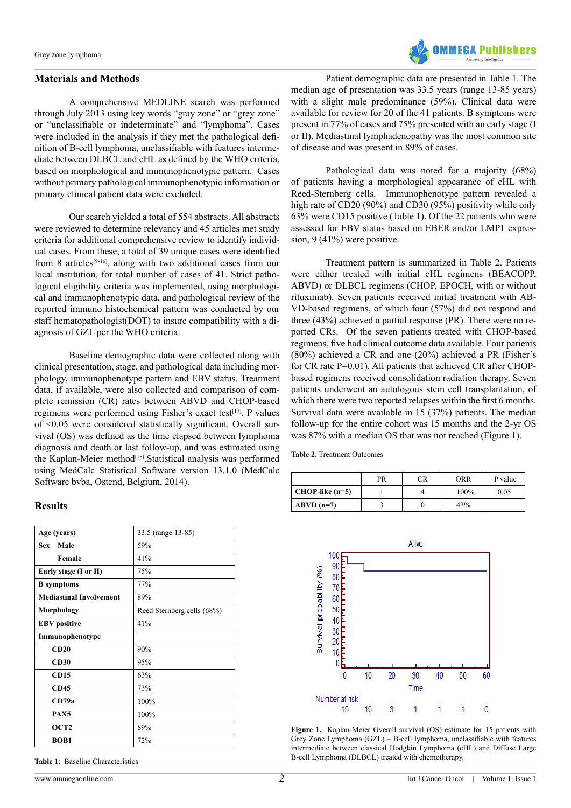#### **Materials and Methods**

A comprehensive MEDLINE search was performed through July 2013 using key words "gray zone" or "grey zone" or "unclassifiable or indeterminate" and "lymphoma". Cases were included in the analysis if they met the pathological definition of B-cell lymphoma, unclassifiable with features intermediate between DLBCL and cHL as defined by the WHO criteria, based on morphological and immunophenotypic pattern. Cases without primary pathological immunophenotypic information or primary clinical patient data were excluded.

Our search yielded a total of 554 abstracts. All abstracts were reviewed to determine relevancy and 45 articles met study criteria for additional comprehensive review to identify individual cases. From these, a total of 39 unique cases were identified from 8 articles<sup>[9-16]</sup>, along with two additional cases from our local institution, for total number of cases of 41. Strict pathological eligibility criteria was implemented, using morphological and immunophenotypic data, and pathological review of the reported immuno histochemical pattern was conducted by our staff hematopathologist(DOT) to insure compatibility with a diagnosis of GZL per the WHO criteria.

Baseline demographic data were collected along with clinical presentation, stage, and pathological data including morphology, immunophenotype pattern and EBV status. Treatment data, if available, were also collected and comparison of complete remission (CR) rates between ABVD and CHOP-based regimens were performed using Fisher's exact test<sup>[17]</sup>. P values of <0.05 were considered statistically significant. Overall survival (OS) was defined as the time elapsed between lymphoma diagnosis and death or last follow-up, and was estimated using the Kaplan-Meier method[18].Statistical analysis was performed using MedCalc Statistical Software version 13.1.0 (MedCalc Software bvba, Ostend, Belgium, 2014).

#### **Results**

| Age (years)                    | 33.5 (range 13-85)         |  |  |
|--------------------------------|----------------------------|--|--|
| Male<br>Sex                    | 59%                        |  |  |
| Female                         | 41%                        |  |  |
| Early stage (I or II)          | 75%                        |  |  |
| <b>B</b> symptoms              | 77%                        |  |  |
| <b>Mediastinal Involvement</b> | 89%                        |  |  |
| Morphology                     | Reed Sternberg cells (68%) |  |  |
| <b>EBV</b> positive            | 41%                        |  |  |
| Immunophenotype                |                            |  |  |
| CD20                           | 90%                        |  |  |
| CD30                           | 95%                        |  |  |
| <b>CD15</b>                    | 63%                        |  |  |
| <b>CD45</b>                    | 73%                        |  |  |
| CD79a                          | 100%                       |  |  |
| PAX5                           | 100%                       |  |  |
| OCT <sub>2</sub>               | 89%                        |  |  |
| <b>BOB1</b>                    | 72%                        |  |  |

**Table 1**: Baseline Characteristics



Patient demographic data are presented in Table 1. The median age of presentation was 33.5 years (range 13-85 years) with a slight male predominance (59%). Clinical data were available for review for 20 of the 41 patients. B symptoms were present in 77% of cases and 75% presented with an early stage (I or II). Mediastinal lymphadenopathy was the most common site of disease and was present in 89% of cases.

Pathological data was noted for a majority (68%) of patients having a morphological appearance of cHL with Reed-Sternberg cells. Immunophenotype pattern revealed a high rate of CD20 (90%) and CD30 (95%) positivity while only 63% were CD15 positive (Table 1). Of the 22 patients who were assessed for EBV status based on EBER and/or LMP1 expression, 9 (41%) were positive.

Treatment pattern is summarized in Table 2. Patients were either treated with initial cHL regimens (BEACOPP, ABVD) or DLBCL regimens (CHOP, EPOCH, with or without rituximab). Seven patients received initial treatment with AB-VD-based regimens, of which four (57%) did not respond and three (43%) achieved a partial response (PR). There were no reported CRs. Of the seven patients treated with CHOP-based regimens, five had clinical outcome data available. Four patients (80%) achieved a CR and one (20%) achieved a PR (Fisher's for CR rate P=0.01). All patients that achieved CR after CHOPbased regimens received consolidation radiation therapy. Seven patients underwent an autologous stem cell transplantation, of which there were two reported relapses within the first 6 months. Survival data were available in 15 (37%) patients. The median follow-up for the entire cohort was 15 months and the 2-yr OS was 87% with a median OS that was not reached (Figure 1).

**Table 2**: Treatment Outcomes

|                   | PR | CR | <b>ORR</b> | P value |
|-------------------|----|----|------------|---------|
| $CHOP-like (n=5)$ |    |    | 100%       | 0.05    |
| $ABVD(n=7)$       |    |    | 43%        |         |



**Figure 1.** Kaplan-Meier Overall survival (OS) estimate for 15 patients with Grey Zone Lymphoma (GZL) – B-cell lymphoma, unclassifiable with features intermediate between classical Hodgkin Lymphoma (cHL) and Diffuse Large B-cell Lymphoma (DLBCL) treated with chemotherapy.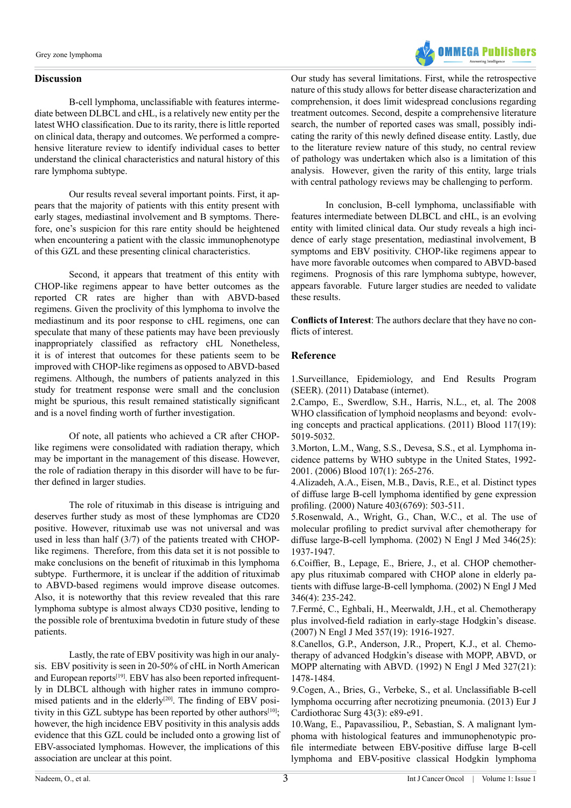### **Discussion**



Our results reveal several important points. First, it appears that the majority of patients with this entity present with early stages, mediastinal involvement and B symptoms. Therefore, one's suspicion for this rare entity should be heightened when encountering a patient with the classic immunophenotype of this GZL and these presenting clinical characteristics.

Second, it appears that treatment of this entity with CHOP-like regimens appear to have better outcomes as the reported CR rates are higher than with ABVD-based regimens. Given the proclivity of this lymphoma to involve the mediastinum and its poor response to cHL regimens, one can speculate that many of these patients may have been previously inappropriately classified as refractory cHL Nonetheless, it is of interest that outcomes for these patients seem to be improved with CHOP-like regimens as opposed to ABVD-based regimens. Although, the numbers of patients analyzed in this study for treatment response were small and the conclusion might be spurious, this result remained statistically significant and is a novel finding worth of further investigation.

Of note, all patients who achieved a CR after CHOPlike regimens were consolidated with radiation therapy, which may be important in the management of this disease. However, the role of radiation therapy in this disorder will have to be further defined in larger studies.

The role of rituximab in this disease is intriguing and deserves further study as most of these lymphomas are CD20 positive. However, rituximab use was not universal and was used in less than half (3/7) of the patients treated with CHOPlike regimens. Therefore, from this data set it is not possible to make conclusions on the benefit of rituximab in this lymphoma subtype. Furthermore, it is unclear if the addition of rituximab to ABVD-based regimens would improve disease outcomes. Also, it is noteworthy that this review revealed that this rare lymphoma subtype is almost always CD30 positive, lending to the possible role of brentuxima bvedotin in future study of these patients.

Lastly, the rate of EBV positivity was high in our analysis. EBV positivity is seen in 20-50% of cHL in North American and European reports<sup>[19]</sup>. EBV has also been reported infrequently in DLBCL although with higher rates in immuno compromised patients and in the elderly<sup>[20]</sup>. The finding of EBV positivity in this GZL subtype has been reported by other authors $[10]$ ; however, the high incidence EBV positivity in this analysis adds evidence that this GZL could be included onto a growing list of EBV-associated lymphomas. However, the implications of this association are unclear at this point.

Our study has several limitations. First, while the retrospective nature of this study allows for better disease characterization and comprehension, it does limit widespread conclusions regarding treatment outcomes. Second, despite a comprehensive literature search, the number of reported cases was small, possibly indicating the rarity of this newly defined disease entity. Lastly, due to the literature review nature of this study, no central review of pathology was undertaken which also is a limitation of this analysis. However, given the rarity of this entity, large trials with central pathology reviews may be challenging to perform.

**OMMEGA Publishers** 

In conclusion, B-cell lymphoma, unclassifiable with features intermediate between DLBCL and cHL, is an evolving entity with limited clinical data. Our study reveals a high incidence of early stage presentation, mediastinal involvement, B symptoms and EBV positivity. CHOP-like regimens appear to have more favorable outcomes when compared to ABVD-based regimens. Prognosis of this rare lymphoma subtype, however, appears favorable. Future larger studies are needed to validate these results.

**Conflicts of Interest**: The authors declare that they have no conflicts of interest.

## **Reference**

1.[Surveillance, Epidemiology, and End Results Program](http://seer.cancer.gov/) [\(SEER\). \(2011\) Database \(internet\).](http://seer.cancer.gov/)

2.[Campo, E., Swerdlow, S.H., Harris, N.L., et, al. The 2008](http://www.ncbi.nlm.nih.gov/pubmed/21300984) [WHO classification of lymphoid neoplasms and beyond: evolv](http://www.ncbi.nlm.nih.gov/pubmed/21300984)[ing concepts and practical applications. \(2011\) Blood 117\(19\):](http://www.ncbi.nlm.nih.gov/pubmed/21300984) [5019-5032.](http://www.ncbi.nlm.nih.gov/pubmed/21300984)

3.[Morton, L.M., Wang, S.S., Devesa, S.S., et al. Lymphoma in](http://www.ncbi.nlm.nih.gov/pubmed/16150940)[cidence patterns by WHO subtype in the United States, 1992-](http://www.ncbi.nlm.nih.gov/pubmed/16150940) [2001. \(2006\) Blood 107\(1\): 265-276.](http://www.ncbi.nlm.nih.gov/pubmed/16150940)

4.[Alizadeh, A.A., Eisen, M.B., Davis, R.E., et al. Distinct types](http://www.ncbi.nlm.nih.gov/pubmed/10676951) [of diffuse large B-cell lymphoma identified by gene expression](http://www.ncbi.nlm.nih.gov/pubmed/10676951) [profiling. \(2000\) Nature 403\(6769\): 503-511.](http://www.ncbi.nlm.nih.gov/pubmed/10676951)

5[.Rosenwald, A., Wright, G., Chan, W.C., et al. The use of](http://www.ncbi.nlm.nih.gov/pubmed/12075054) [molecular profiling to predict survival after chemotherapy for](http://www.ncbi.nlm.nih.gov/pubmed/12075054) [diffuse large-B-cell lymphoma. \(2002\) N Engl J Med 346\(25\):](http://www.ncbi.nlm.nih.gov/pubmed/12075054) [1937-1947.](http://www.ncbi.nlm.nih.gov/pubmed/12075054)

6[.Coiffier, B., Lepage, E., Briere, J., et al. CHOP chemother](http://www.ncbi.nlm.nih.gov/pubmed/11807147)[apy plus rituximab compared with CHOP alone in elderly pa](http://www.ncbi.nlm.nih.gov/pubmed/11807147)[tients with diffuse large-B-cell lymphoma. \(2002\) N Engl J Med](http://www.ncbi.nlm.nih.gov/pubmed/11807147) [346\(4\): 235-242.](http://www.ncbi.nlm.nih.gov/pubmed/11807147)

7.[Fermé, C., Eghbali, H., Meerwaldt, J.H., et al. Chemotherapy](http://www.ncbi.nlm.nih.gov/pubmed/17989384) [plus involved-field radiation in early-stage Hodgkin's disease.](http://www.ncbi.nlm.nih.gov/pubmed/17989384) [\(2007\) N Engl J Med 357\(19\): 1916-1927.](http://www.ncbi.nlm.nih.gov/pubmed/17989384)

8.[Canellos, G.P., Anderson, J.R., Propert, K.J., et al. Chemo](http://www.ncbi.nlm.nih.gov/pubmed/1383821)[therapy of advanced Hodgkin's disease with MOPP, ABVD, or](http://www.ncbi.nlm.nih.gov/pubmed/1383821) [MOPP alternating with ABVD. \(1992\) N Engl J Med 327\(21\):](http://www.ncbi.nlm.nih.gov/pubmed/1383821) [1478-1484.](http://www.ncbi.nlm.nih.gov/pubmed/1383821)

9[.Cogen, A., Bries, G., Verbeke, S., et al. Unclassifiable B-cell](http://www.ncbi.nlm.nih.gov/pubmed/23220936) [lymphoma occurring after necrotizing pneumonia. \(2013\) Eur J](http://www.ncbi.nlm.nih.gov/pubmed/23220936) [Cardiothorac Surg 43\(3\): e89-e91.](http://www.ncbi.nlm.nih.gov/pubmed/23220936)

[10.Wang, E., Papavassiliou, P., Sebastian, S. A malignant lym](http://www.ncbi.nlm.nih.gov/pubmed/22572037)[phoma with histological features and immunophenotypic pro](http://www.ncbi.nlm.nih.gov/pubmed/22572037)[file intermediate between EBV-positive diffuse large B-cell](http://www.ncbi.nlm.nih.gov/pubmed/22572037) [lymphoma and EBV-positive classical Hodgkin lymphoma](http://www.ncbi.nlm.nih.gov/pubmed/22572037)